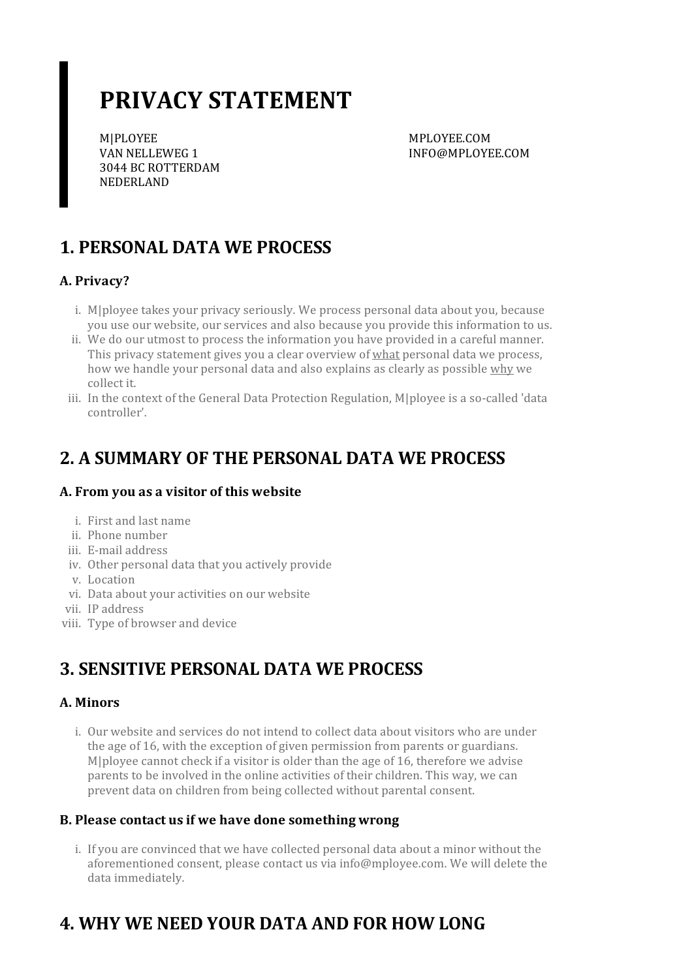# **PRIVACY STATEMENT**

M|PLOYEE VAN NELLEWEG 1 3044 BC ROTTERDAM NEDERLAND

MPLOYEE.COM INFO@MPLOYEE.COM

# **1. PERSONAL DATA WE PROCESS**

### **A. Privacy?**

- i. M|ployee takes your privacy seriously. We process personal data about you, because you use our website, our services and also because you provide this information to us.
- ii. We do our utmost to process the information you have provided in a careful manner. This privacy statement gives you a clear overview of what personal data we process, how we handle your personal data and also explains as clearly as possible why we collect it.
- iii. In the context of the General Data Protection Regulation, M|ployee is a so-called 'data controller'.

### **2. A SUMMARY OF THE PERSONAL DATA WE PROCESS**

### **A. From you as a visitor of this website**

- i. First and last name
- ii. Phone number
- iii. E-mail address
- iv. Other personal data that you actively provide
- v. Location
- vi. Data about your activities on our website
- vii. IP address
- viii. Type of browser and device

### **3. SENSITIVE PERSONAL DATA WE PROCESS**

### **A. Minors**

i. Our website and services do not intend to collect data about visitors who are under the age of 16, with the exception of given permission from parents or guardians. M|ployee cannot check if a visitor is older than the age of 16, therefore we advise parents to be involved in the online activities of their children. This way, we can prevent data on children from being collected without parental consent.

### **B. Please contact usif we have done somethingwrong**

i. If you are convinced that we have collected personal data about a minor without the aforementioned consent, please contact us via info@mployee.com. We will delete the data immediately.

# **4. WHY WE NEED YOUR DATA AND FOR HOW LONG**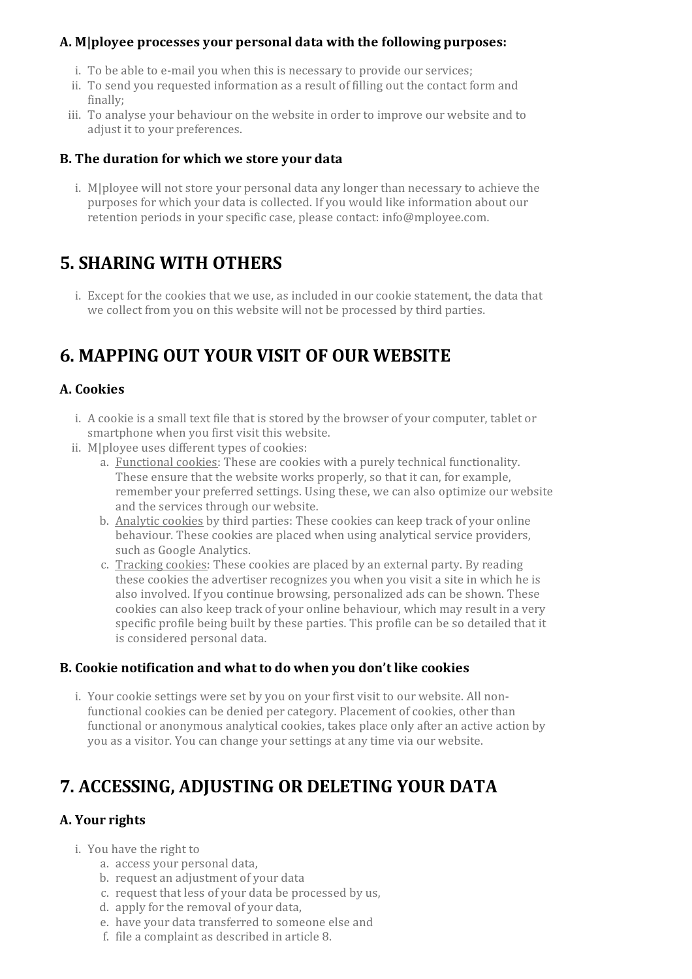#### **A. M|ployee processes your personal data with the following purposes:**

- i. To be able to e-mail you when this is necessary to provide our services;
- ii. To send you requested information as a result of filling out the contact form and finally;
- iii. To analyse your behaviour on the website in order to improve our website and to adjust it to your preferences.

#### **B. The duration for which we store your data**

i. M|ployee will not store your personal data any longerthan necessary to achieve the purposes for which your data is collected. If you would like information about our retention periods in your specific case, please contact: info@mployee.com.

### **5. SHARING WITH OTHERS**

i. Except for the cookies that we use, as included in our cookie statement, the data that we collect from you on this website will not be processed by third parties.

### **6. MAPPING OUT YOUR VISIT OF OUR WEBSITE**

#### **A. Cookies**

- i. A cookie is a small text file that is stored by the browser of your computer, tablet or smartphone when you first visit this website.
- ii. M|ployee uses different types of cookies:
	- a. Functional cookies: These are cookies with a purely technical functionality. These ensure that the website works properly, so that it can, for example, remember your preferred settings. Using these, we can also optimize our website and the services through our website.
	- b. Analytic cookies by third parties: These cookies can keep track of your online behaviour. These cookies are placed when using analytical service providers, such as Google Analytics.
	- c. Tracking cookies: These cookies are placed by an external party. By reading these cookies the advertiser recognizes you when you visit a site in which he is also involved. If you continue browsing, personalized ads can be shown. These cookies can also keep track of your online behaviour, which may result in a very specific profile being built by these parties. This profile can be so detailed that it is considered personal data.

#### **B. Cookie notification and what to do when you don't like cookies**

i. Your cookie settings were set by you on your first visit to our website. All nonfunctional cookies can be denied per category. Placement of cookies, other than functional or anonymous analytical cookies, takes place only after an active action by you as a visitor. You can change yoursettings at any time via our website.

### **7. ACCESSING, ADJUSTING OR DELETING YOUR DATA**

### **A.** Your rights

- i. You have the right to
	- a. access your personal data,
	- b. request an adjustment of your data
	- c. request that less of your data be processed by us,
	- d. apply for the removal of your data,
	- e. have your data transferred to someone else and
	- f. file a complaint as described in article 8.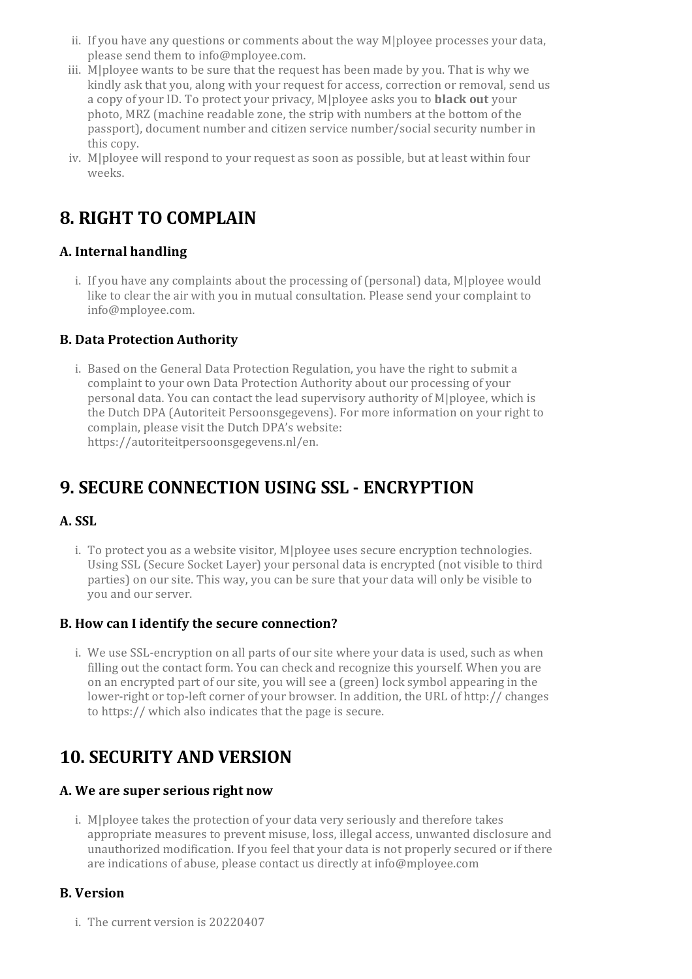- ii. If you have any questions or comments about the way M|ployee processes your data, please send them to info@mployee.com.
- iii. M|ployee wants to be sure that the request has been made by you. That is why we kindly ask that you, along with your request for access, correction or removal, send us a copy of yourID. To protect your privacy, M|ployee asks you to **black out** your photo, MRZ (machine readable zone, the strip with numbers at the bottom of the passport), document number and citizen service number/social security numberin this copy.
- iv. M|ployee will respond to your request as soon as possible, but at least within four weeks.

## **8. RIGHT TO COMPLAIN**

### **A. Internal handling**

i. If you have any complaints about the processing of (personal) data, M|ployee would like to clear the air with you in mutual consultation. Please send your complaint to info@mployee.com.

### **B. Data Protection Authority**

i. Based on the General Data Protection Regulation, you have the right to submit a complaint to your own Data Protection Authority about our processing of your personal data. You can contact the lead supervisory authority of M|ployee, which is the Dutch DPA (Autoriteit Persoonsgegevens). For more information on your right to complain, please visit the Dutch DPA's website: https://autoriteitpersoonsgegevens.nl/en.

## **9. SECURE CONNECTION USING SSL - ENCRYPTION**

### **A. SSL**

i. To protect you as a website visitor, M|ployee uses secure encryption technologies. Using SSL (Secure Socket Layer) your personal data is encrypted (not visible to third parties) on oursite. This way, you can be sure that your data will only be visible to you and ourserver.

### **B. How can I identify the secure connection?**

i. We use SSL-encryption on all parts of our site where your data is used, such as when filling out the contact form. You can check and recognize this yourself. When you are on an encrypted part of oursite, you will see a (green) lock symbol appearing in the lower-right or top-left corner of your browser. In addition, the URL of http:// changes to https:// which also indicates that the page is secure.

### **10. SECURITY AND VERSION**

### **A. We are superseriousright now**

i. M|ployee takes the protection of your data very seriously and therefore takes appropriate measures to prevent misuse, loss, illegal access, unwanted disclosure and unauthorized modification. If you feel that your data is not properly secured orif there are indications of abuse, please contact us directly at info@mployee.com

### **B. Version**

i. The current version is 20220407